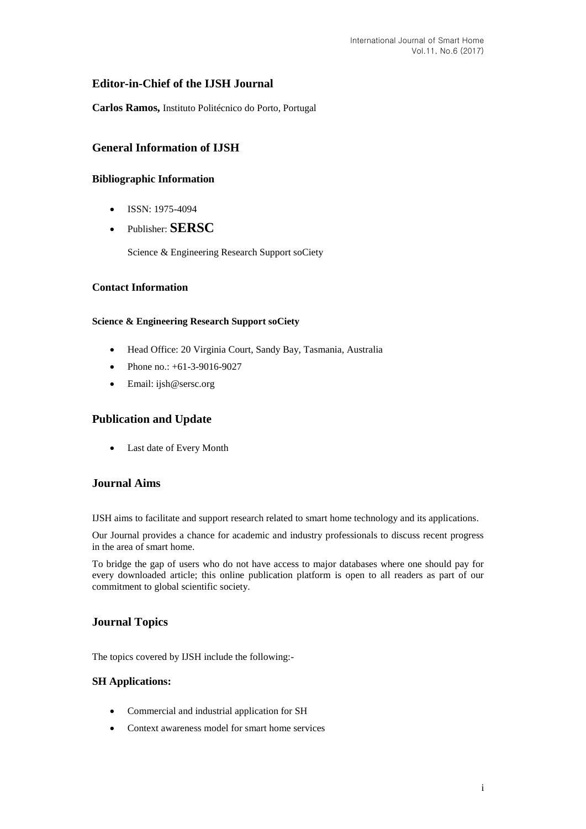# **Editor-in-Chief of the IJSH Journal**

**Carlos Ramos,** Instituto Politécnico do Porto, Portugal

# **General Information of IJSH**

## **Bibliographic Information**

- $\bullet$  ISSN: 1975-4094
- Publisher: **SERSC**

Science & Engineering Research Support soCiety

### **Contact Information**

#### **Science & Engineering Research Support soCiety**

- Head Office: 20 Virginia Court, Sandy Bay, Tasmania, Australia
- Phone no.: +61-3-9016-9027
- Email: [ijsh@sersc.org](mailto:ijast@sersc.org)

# **Publication and Update**

Last date of Every Month

## **Journal Aims**

IJSH aims to facilitate and support research related to smart home technology and its applications.

Our Journal provides a chance for academic and industry professionals to discuss recent progress in the area of smart home.

To bridge the gap of users who do not have access to major databases where one should pay for every downloaded article; this online publication platform is open to all readers as part of our commitment to global scientific society.

# **Journal Topics**

The topics covered by IJSH include the following:-

#### **SH Applications:**

- Commercial and industrial application for SH
- Context awareness model for smart home services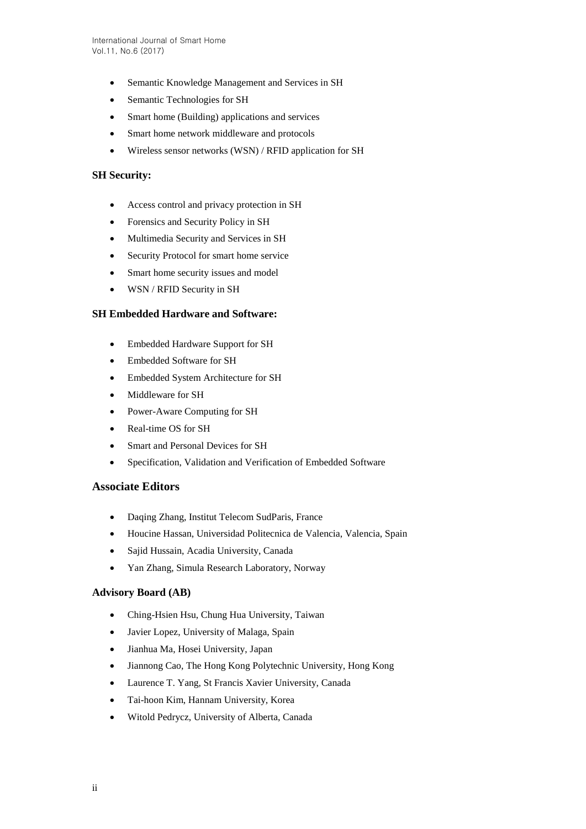- Semantic Knowledge Management and Services in SH
- Semantic Technologies for SH
- Smart home (Building) applications and services
- Smart home network middleware and protocols
- Wireless sensor networks (WSN) / RFID application for SH

### **SH Security:**

- Access control and privacy protection in SH
- Forensics and Security Policy in SH
- Multimedia Security and Services in SH
- Security Protocol for smart home service
- Smart home security issues and model
- WSN / RFID Security in SH

#### **SH Embedded Hardware and Software:**

- Embedded Hardware Support for SH
- Embedded Software for SH
- Embedded System Architecture for SH
- Middleware for SH
- Power-Aware Computing for SH
- Real-time OS for SH
- Smart and Personal Devices for SH
- Specification, Validation and Verification of Embedded Software

#### **Associate Editors**

- Daqing Zhang, Institut Telecom SudParis, France
- Houcine Hassan, Universidad Politecnica de Valencia, Valencia, Spain
- Sajid Hussain, Acadia University, Canada
- Yan Zhang, Simula Research Laboratory, Norway

### **Advisory Board (AB)**

- Ching-Hsien Hsu, Chung Hua University, Taiwan
- Javier Lopez, University of Malaga, Spain
- Jianhua Ma, Hosei University, Japan
- Jiannong Cao, The Hong Kong Polytechnic University, Hong Kong
- Laurence T. Yang, St Francis Xavier University, Canada
- Tai-hoon Kim, Hannam University, Korea
- Witold Pedrycz, University of Alberta, Canada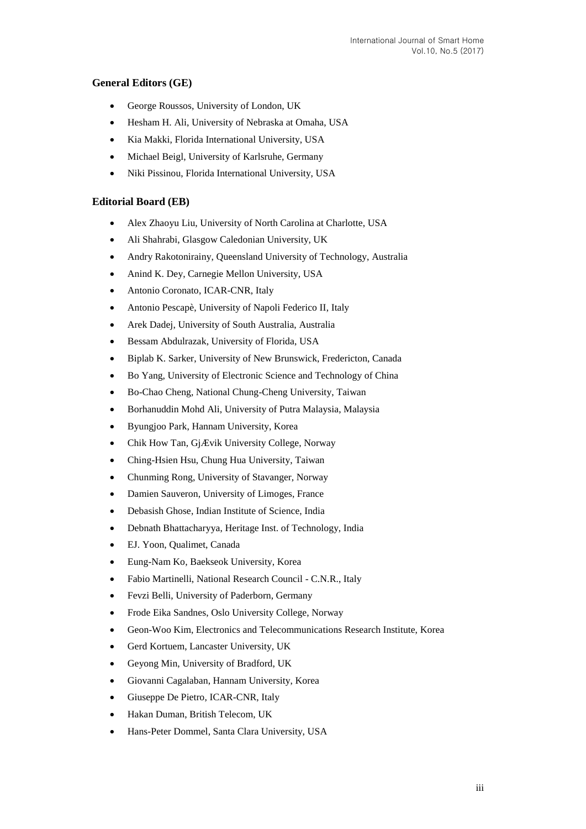## **General Editors (GE)**

- George Roussos, University of London, UK
- Hesham H. Ali, University of Nebraska at Omaha, USA
- Kia Makki, Florida International University, USA
- Michael Beigl, University of Karlsruhe, Germany
- Niki Pissinou, Florida International University, USA

### **Editorial Board (EB)**

- Alex Zhaoyu Liu, University of North Carolina at Charlotte, USA
- Ali Shahrabi, Glasgow Caledonian University, UK
- Andry Rakotonirainy, Queensland University of Technology, Australia
- Anind K. Dey, Carnegie Mellon University, USA
- Antonio Coronato, ICAR-CNR, Italy
- Antonio Pescapè, University of Napoli Federico II, Italy
- Arek Dadej, University of South Australia, Australia
- Bessam Abdulrazak, University of Florida, USA
- Biplab K. Sarker, University of New Brunswick, Fredericton, Canada
- Bo Yang, University of Electronic Science and Technology of China
- Bo-Chao Cheng, National Chung-Cheng University, Taiwan
- Borhanuddin Mohd Ali, University of Putra Malaysia, Malaysia
- Byungjoo Park, Hannam University, Korea
- Chik How Tan, GjÆ vik University College, Norway
- Ching-Hsien Hsu, Chung Hua University, Taiwan
- Chunming Rong, University of Stavanger, Norway
- Damien Sauveron, University of Limoges, France
- Debasish Ghose, Indian Institute of Science, India
- Debnath Bhattacharyya, Heritage Inst. of Technology, India
- EJ. Yoon, Qualimet, Canada
- Eung-Nam Ko, Baekseok University, Korea
- Fabio Martinelli, National Research Council C.N.R., Italy
- Fevzi Belli, University of Paderborn, Germany
- Frode Eika Sandnes, Oslo University College, Norway
- Geon-Woo Kim, Electronics and Telecommunications Research Institute, Korea
- Gerd Kortuem, Lancaster University, UK
- Geyong Min, University of Bradford, UK
- Giovanni Cagalaban, Hannam University, Korea
- Giuseppe De Pietro, ICAR-CNR, Italy
- Hakan Duman, British Telecom, UK
- Hans-Peter Dommel, Santa Clara University, USA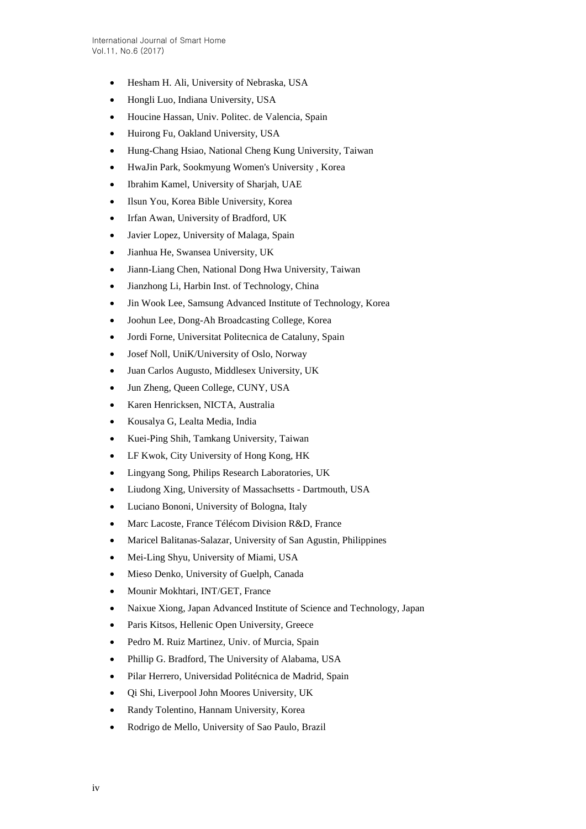- Hesham H. Ali, University of Nebraska, USA
- Hongli Luo, Indiana University, USA
- Houcine Hassan, Univ. Politec. de Valencia, Spain
- Huirong Fu, Oakland University, USA
- Hung-Chang Hsiao, National Cheng Kung University, Taiwan
- HwaJin Park, Sookmyung Women's University , Korea
- Ibrahim Kamel, University of Sharjah, UAE
- Ilsun You, Korea Bible University, Korea
- Irfan Awan, University of Bradford, UK
- Javier Lopez, University of Malaga, Spain
- Jianhua He, Swansea University, UK
- Jiann-Liang Chen, National Dong Hwa University, Taiwan
- Jianzhong Li, Harbin Inst. of Technology, China
- Jin Wook Lee, Samsung Advanced Institute of Technology, Korea
- Joohun Lee, Dong-Ah Broadcasting College, Korea
- Jordi Forne, Universitat Politecnica de Cataluny, Spain
- Josef Noll, UniK/University of Oslo, Norway
- Juan Carlos Augusto, Middlesex University, UK
- Jun Zheng, Queen College, CUNY, USA
- Karen Henricksen, NICTA, Australia
- Kousalya G, Lealta Media, India
- Kuei-Ping Shih, Tamkang University, Taiwan
- LF Kwok, City University of Hong Kong, HK
- Lingyang Song, Philips Research Laboratories, UK
- Liudong Xing, University of Massachsetts Dartmouth, USA
- Luciano Bononi, University of Bologna, Italy
- Marc Lacoste, France Télécom Division R&D, France
- Maricel Balitanas-Salazar, University of San Agustin, Philippines
- Mei-Ling Shyu, University of Miami, USA
- Mieso Denko, University of Guelph, Canada
- Mounir Mokhtari, INT/GET, France
- Naixue Xiong, Japan Advanced Institute of Science and Technology, Japan
- Paris Kitsos, Hellenic Open University, Greece
- Pedro M. Ruiz Martinez, Univ. of Murcia, Spain
- Phillip G. Bradford, The University of Alabama, USA
- Pilar Herrero, Universidad Politécnica de Madrid, Spain
- Qi Shi, Liverpool John Moores University, UK
- Randy Tolentino, Hannam University, Korea
- Rodrigo de Mello, University of Sao Paulo, Brazil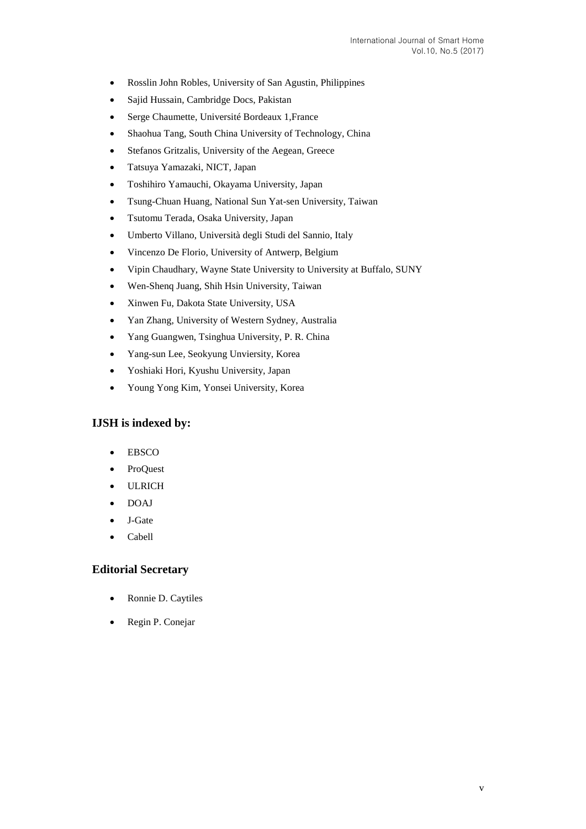- Rosslin John Robles, University of San Agustin, Philippines
- Sajid Hussain, Cambridge Docs, Pakistan
- Serge Chaumette, Université Bordeaux 1,France
- Shaohua Tang, South China University of Technology, China
- Stefanos Gritzalis, University of the Aegean, Greece
- Tatsuya Yamazaki, NICT, Japan
- Toshihiro Yamauchi, Okayama University, Japan
- Tsung-Chuan Huang, National Sun Yat-sen University, Taiwan
- Tsutomu Terada, Osaka University, Japan
- Umberto Villano, Università degli Studi del Sannio, Italy
- Vincenzo De Florio, University of Antwerp, Belgium
- Vipin Chaudhary, Wayne State University to University at Buffalo, SUNY
- Wen-Shenq Juang, Shih Hsin University, Taiwan
- Xinwen Fu, Dakota State University, USA
- Yan Zhang, University of Western Sydney, Australia
- Yang Guangwen, Tsinghua University, P. R. China
- Yang-sun Lee, Seokyung Unviersity, Korea
- Yoshiaki Hori, Kyushu University, Japan
- Young Yong Kim, Yonsei University, Korea

## **IJSH is indexed by:**

- EBSCO
- ProQuest
- ULRICH
- DOAJ
- J-Gate
- Cabell

### **Editorial Secretary**

- Ronnie D. Caytiles
- Regin P. Conejar